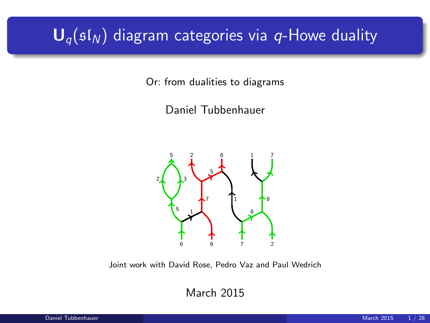# $U_q(sI_N)$  diagram categories via q-Howe duality

Or: from dualities to diagrams

Daniel Tubbenhauer



Joint work with David Rose, Pedro Vaz and Paul Wedrich

March 2015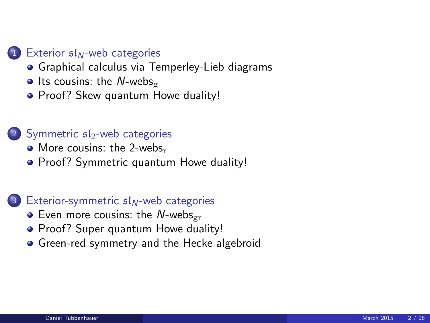#### 1 Exterior  $sI_N$ [-web categories](#page-2-0)

- **•** [Graphical calculus via Temperley-Lieb diagrams](#page-2-0)
- $\bullet$  [Its cousins: the](#page-5-0) N-webs<sub>g</sub>
- [Proof? Skew quantum Howe duality!](#page-8-0)

#### $(2)$  Symmetric  $sI_2$ [-web categories](#page-11-0)

- $\bullet$  [More cousins: the 2-webs](#page-11-0)<sub>r</sub>
- [Proof? Symmetric quantum Howe duality!](#page-14-0)

#### $\left(3\right)$  [Exterior-symmetric](#page-17-0)  $\mathfrak{sl}_N$ -web categories

- $\bullet$  [Even more cousins: the](#page-17-0) N-webs<sub>gr</sub>
- [Proof? Super quantum Howe duality!](#page-20-0)
- [Green-red symmetry and the Hecke algebroid](#page-23-0)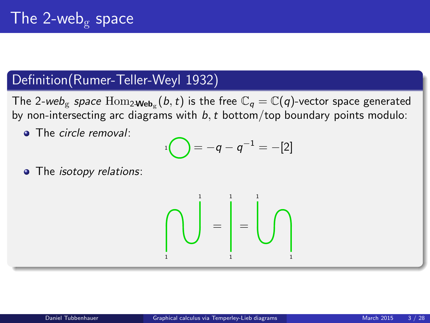### Definition(Rumer-Teller-Weyl 1932)

The 2-we $b_{\rm g}$  space  $\rm{Hom}_{2\bf{Web}_{g}}(\it{b},\it{t})$  is the free  $\mathbb{C}_{q}=\mathbb{C}(q)$ -vector space generated by non-intersecting arc diagrams with  $b, t$  bottom/top boundary points modulo:

• The circle removal:

$$
{}^{1}\bigodot = -q - q^{-1} = -[2]
$$

• The *isotopy relations*:

$$
\text{diag} \left\{ \text{diag} \right\} = \text{diag} \left\{ \text{diag} \right\}
$$

<span id="page-2-0"></span>1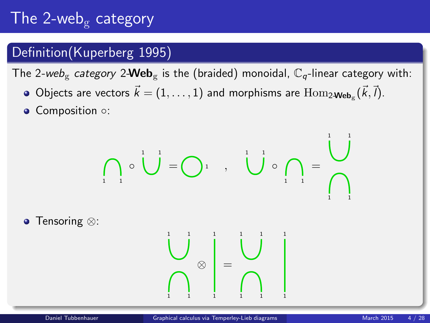# The 2-web<sub>g</sub> category

### Definition(Kuperberg 1995)

The 2-web<sub>g</sub> category 2-**Web**<sub>g</sub> is the (braided) monoidal,  $\mathbb{C}_q$ -linear category with:

- Objects are vectors  $\vec{k} = (1, \ldots, 1)$  and morphisms are  $\text{Hom}_{2\textbf{-Web}_g}(\vec{k}, \vec{l}).$
- Composition ○:

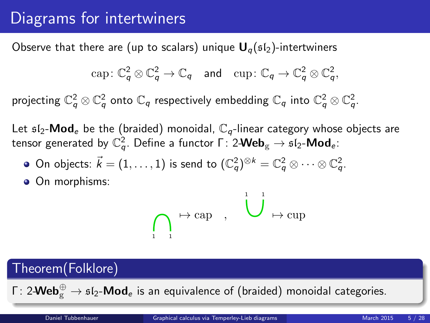## Diagrams for intertwiners

Observe that there are (up to scalars) unique  $U_q(sI_2)$ -intertwiners

$$
\text{cap}: \mathbb{C}_q^2 \otimes \mathbb{C}_q^2 \to \mathbb{C}_q \quad \text{and} \quad \text{cup}: \mathbb{C}_q \to \mathbb{C}_q^2 \otimes \mathbb{C}_q^2,
$$

projecting  $\mathbb{C}_q^2\otimes\mathbb{C}_q^2$  onto  $\mathbb{C}_q$  respectively embedding  $\mathbb{C}_q$  into  $\mathbb{C}_q^2\otimes\mathbb{C}_q^2$ .

Let  $\mathfrak{sl}_2\text{-}\mathbf{Mod}_e$  be the (braided) monoidal,  $\mathbb{C}_q$ -linear category whose objects are tensor generated by  $\mathbb{C}^2_q.$  Define a functor Γ $:$  2-Web $_{\textrm{g}}$   $\rightarrow$   $\mathfrak{sl}_2\text{-}\mathsf{Mod}_{e}$ :

- On objects:  $\vec{k}=(1,\ldots,1)$  is send to  $(\mathbb{C}_q^2)^{\otimes k}=\mathbb{C}_q^2\otimes\cdots\otimes\mathbb{C}_q^2.$
- On morphisms:

$$
\bigcap_{i=1}^{\infty} \mapsto \text{cap} \quad , \quad \bigcup_{i=1}^{i=1} \mapsto \text{cup}
$$

### Theorem(Folklore)

Γ: 2- $\mathsf{Web}_{\mathrm{g}}^\oplus \to \mathfrak{sl}_2\text{-}\mathsf{Mod}_e$  is an equivalence of (braided) monoidal categories.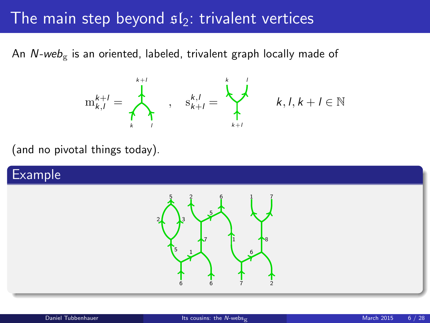### The main step beyond  $s/s$ : trivalent vertices

An  $N$ -web<sub>g</sub> is an oriented, labeled, trivalent graph locally made of



<span id="page-5-0"></span> $k, l, k+l \in \mathbb{N}$ 

(and no pivotal things today).

### Example

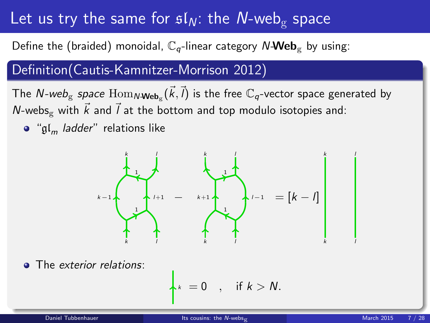## Let us try the same for  $sI_N$ : the N-web<sub>g</sub> space

Define the (braided) monoidal,  $\mathbb{C}_q$ -linear category N-Web<sub>g</sub> by using:

### Definition(Cautis-Kamnitzer-Morrison 2012)

The  $\textsf{N-web}_\textsf{g}$  space  $\text{Hom}_{\textsf{N-Web}_\textsf{g}}(\vec{k},\vec{l})$  is the free  $\mathbb{C}_q$ -vector space generated by N-webs<sub>g</sub> with  $\vec{k}$  and  $\vec{l}$  at the bottom and top modulo isotopies and:

 $\bullet$  " $\mathfrak{gl}_m$  *ladder*" relations like



The exterior relations:

$$
k = 0 \quad , \quad \text{if } k > N.
$$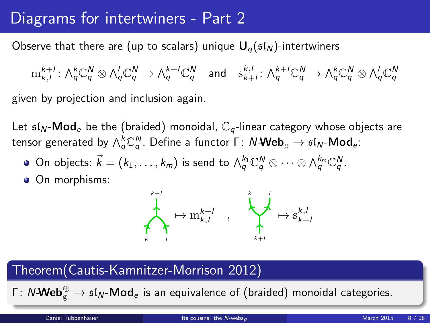## Diagrams for intertwiners - Part 2

Observe that there are (up to scalars) unique  $U_q(sI_N)$ -intertwiners

 $\mathrm{m}^{k+l}_{k,l} \colon \bigwedge_q^k \mathbb{C}^N_q \otimes \bigwedge_q^l \mathbb{C}^N_q \to \bigwedge_q^{k+l} \mathbb{C}^N_q \quad \text{and} \quad \mathrm{s}^{k,l}_{k+l} \colon \bigwedge_q^{k+l} \mathbb{C}^N_q \to \bigwedge_q^k \mathbb{C}^N_q \otimes \bigwedge_q^l \mathbb{C}^N_q$ given by projection and inclusion again.

Let  $\mathfrak{sl}_N$ -**Mod**<sub>e</sub> be the (braided) monoidal,  $\mathbb{C}_q$ -linear category whose objects are tensor generated by  $\wedge_Q^k\mathbb{C}_q^N.$  Define a functor  $\mathsf{\Gamma}\colon N\text{-}\mathsf{Web}_{\mathrm{g}} \to \mathfrak{sl}_N\text{-}\mathsf{Mod}_{e}$ :

- On objects:  $\vec{k}=(k_1,\ldots,k_m)$  is send to  $\bigwedge_q^{k_1}\mathbb{C}_q^N\otimes\cdots\otimes\bigwedge_q^{k_m}\mathbb{C}_q^N$ .
- On morphisms:



### Theorem(Cautis-Kamnitzer-Morrison 2012)

Γ: N-**Web** $_{\rm g}^{\oplus} \to {\mathfrak{sl}}_{N}$ -**Mod** $_{e}$  is an equivalence of (braided) monoidal categories.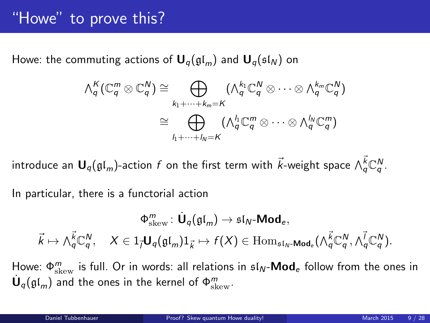## "Howe" to prove this?

Howe: the commuting actions of  $U_q(\mathfrak{gl}_m)$  and  $U_q(\mathfrak{sl}_N)$  on

$$
\begin{aligned}\n\wedge_q^K(\mathbb{C}_q^m \otimes \mathbb{C}_q^N) &\cong \bigoplus_{k_1 + \dots + k_m = K} \left(\wedge_q^{k_1} \mathbb{C}_q^N \otimes \dots \otimes \wedge_q^{k_m} \mathbb{C}_q^N\right) \\
&\cong \bigoplus_{k_1 + \dots + k_m = K} \left(\wedge_q^{k_1} \mathbb{C}_q^m \otimes \dots \otimes \wedge_q^{k_m} \mathbb{C}_q^m\right)\n\end{aligned}
$$

introduce an  $\bm{\mathsf{U}}_q(\mathfrak{gl}_m)$ -action  $f$  on the first term with  $\vec{k}$ -weight space  $\wedge^{\vec{k}}_q \mathbb{C}^N_q$ .

In particular, there is a functorial action

<span id="page-8-0"></span>
$$
\Phi_\text{skew}^m: \dot{\mathbf U}_q(\mathfrak{gl}_m) \to \mathfrak{sl}_N\text{-}\mathbf{Mod}_e, \\ \vec k \mapsto \wedge_q^{\vec k}\mathbb{C}_q^N, \quad X \in 1_{\vec l}\mathbf U_q(\mathfrak{gl}_m)1_{\vec k} \mapsto f(X) \in \mathrm{Hom}_{\mathfrak{sl}_N\text{-}\mathbf{Mod}_e}(\wedge_q^{\vec k}\mathbb{C}_q^N, \wedge_q^{\vec l}\mathbb{C}_q^N).
$$

Howe:  $\Phi_{\text{skew}}^m$  is full. Or in words: all relations in  $\mathfrak{sl}_N\text{-}\mathsf{Mod}_e$  follow from the ones in  $\dot{\mathsf{U}}_q(\mathfrak{gl}_m)$  and the ones in the kernel of  $\Phi^m_\mathrm{skew}$ .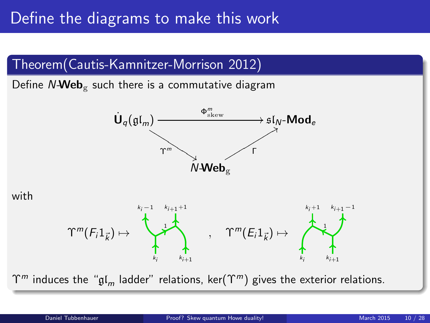## Define the diagrams to make this work

### Theorem(Cautis-Kamnitzer-Morrison 2012)

Define  $N\text{-}Web_{\mathcal{P}}$  such there is a commutative diagram



with



 $\Upsilon^m$  induces the " $\mathfrak{gl}_m$  ladder" relations, ker( $\Upsilon^m$ ) gives the exterior relations.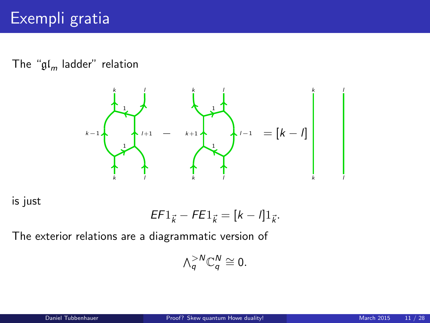The "gl<sub>m</sub> ladder" relation



is just

$$
EF1_{\vec{k}} - FE1_{\vec{k}} = [k - l]1_{\vec{k}}.
$$

The exterior relations are a diagrammatic version of

$$
\wedge_q^{>N}\mathbb{C}_q^N\cong 0.
$$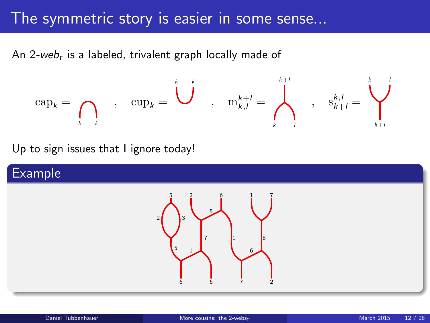## The symmetric story is easier in some sense...

An 2-we $b_r$  is a labeled, trivalent graph locally made of

$$
\mathrm{cap}_k = \bigcap_{k \quad k} \qquad , \quad \mathrm{cup}_k = \bigcup_{k=1}^{k} \qquad , \quad \mathrm{m}_{k,l}^{k+l} = \bigwedge_{k=1}^{k+l} \qquad , \quad \mathrm{s}_{k+l}^{k,l} = \bigvee_{k+l}^{k}
$$

Up to sign issues that I ignore today!

### Example

<span id="page-11-0"></span>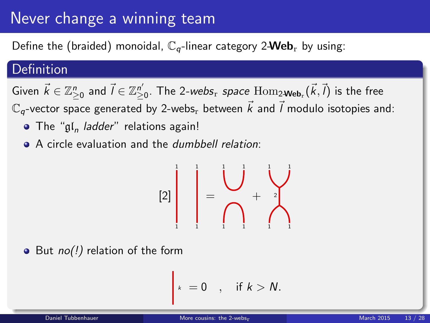## Never change a winning team

Define the (braided) monoidal,  $\mathbb{C}_q$ -linear category 2-Web<sub>r</sub> by using:

### Definition

Given  $\vec k\in\mathbb{Z}_{\ge0}^n$  and  $\vec l\in\mathbb{Z}_{\ge0}^{n'}.$  The 2-webs $_{{\rm r}}$  space  ${\rm Hom}_{2\textbf{-Web}_{{\rm r}}}(\vec k,\vec l)$  is the free  $\mathbb{C}_q$ -vector space generated by 2-webs, between  $\vec{k}$  and  $\vec{l}$  modulo isotopies and:

- The " $\mathfrak{gl}_n$  *ladder*" relations again!
- A circle evaluation and the *dumbbell relation*:

$$
[2]\begin{bmatrix} \vdots \\ \vdots \\ \vdots \\ \vdots \end{bmatrix} = \begin{bmatrix} \vdots \\ \vdots \\ \vdots \\ \vdots \\ \vdots \end{bmatrix} + \begin{bmatrix} \vdots \\ \vdots \\ \vdots \\ \vdots \\ \vdots \\ \vdots \end{bmatrix}
$$

 $\bullet$  But no(!) relation of the form

$$
k = 0 \quad , \quad \text{if } k > N.
$$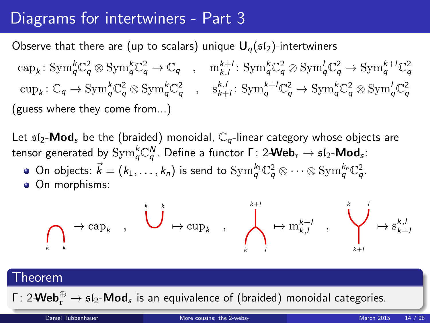## Diagrams for intertwiners - Part 3

Observe that there are (up to scalars) unique  $U_q(sI_2)$ -intertwiners

 $\text{cap}_k: \text{Sym}_q^k \mathbb{C}_q^2 \otimes \text{Sym}_q^k \mathbb{C}_q^2 \to \mathbb{C}_q \quad , \quad \text{m}_{k,l}^{k+l}: \text{Sym}_q^k \mathbb{C}_q^2 \otimes \text{Sym}_q^l \mathbb{C}_q^2 \to \text{Sym}_q^{k+l} \mathbb{C}_q^2$  $\text{cup}_k: \mathbb{C}_q \to \text{Sym}_q^k \mathbb{C}_q^2 \otimes \text{Sym}_q^k \mathbb{C}_q^2 \quad , \quad \text{s}_{k+l}^{k,l}: \text{Sym}_q^{k+l} \mathbb{C}_q^2 \to \text{Sym}_q^k \mathbb{C}_q^2 \otimes \text{Sym}_q^l \mathbb{C}_q^2$ (guess where they come from...)

Let  $\mathfrak{sl}_2$ -Mod<sub>s</sub> be the (braided) monoidal,  $\mathbb{C}_q$ -linear category whose objects are tensor generated by  $\mathrm{Sym}^k_q \mathbb{C}^N_q.$  Define a functor Γ: 2-Web $_\mathrm{r}$   $\rightarrow$   $\mathfrak{sl}_2$ -Mod $_\mathrm{s}$ :

- On objects:  $\vec{k}=(k_1,\ldots,k_n)$  is send to  $\mathrm{Sym}^{k_1}_{q}\mathbb{C}^2_{q}\otimes\cdots\otimes \mathrm{Sym}^{k_n}_{q}\mathbb{C}^2_{q}.$
- **On morphisms:**

$$
\bigcap_{k \atop k} \mapsto \mathrm{cap}_k \quad , \quad \bigcup^k \mapsto \mathrm{cup}_{k} \quad , \quad \bigwedge^{k+l}_{k \enspace l} \mapsto \mathrm{m}_{k,l}^{k+l} \quad , \quad \bigvee^{k}_{k+l} \mapsto \mathrm{s}_{k+l}^{k,l}
$$

#### Theorem

Γ: 2- $\mathsf{Web}^{\oplus}_{\mathrm{r}} \to \mathfrak{sl}_2\text{-}\mathsf{Mod}_{\mathfrak{s}}$  is an equivalence of (braided) monoidal categories.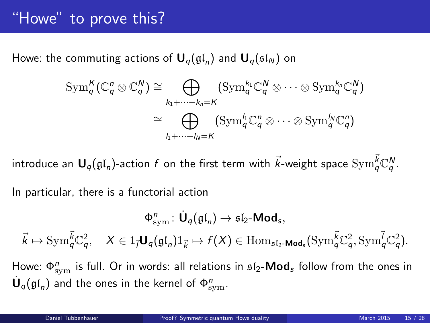## "Howe" to prove this?

Howe: the commuting actions of  $\mathbf{U}_q(\mathfrak{gl}_n)$  and  $\mathbf{U}_q(\mathfrak{sl}_N)$  on

$$
\mathrm{Sym}_{q}^{K}(\mathbb{C}_{q}^{n} \otimes \mathbb{C}_{q}^{N}) \cong \bigoplus_{k_{1}+\cdots+k_{n}=K} (\mathrm{Sym}_{q}^{k_{1}}\mathbb{C}_{q}^{N} \otimes \cdots \otimes \mathrm{Sym}_{q}^{k_{n}}\mathbb{C}_{q}^{N})
$$

$$
\cong \bigoplus_{l_{1}+\cdots+l_{N}=K} (\mathrm{Sym}_{q}^{l_{1}}\mathbb{C}_{q}^{n} \otimes \cdots \otimes \mathrm{Sym}_{q}^{l_{N}}\mathbb{C}_{q}^{n})
$$

introduce an  $\bm{\mathsf{U}}_q(\mathfrak{gl}_n)$ -action  $f$  on the first term with  $\vec{k}$ -weight space  $\mathrm{Sym}^{\vec{k}}_q \mathbb{C}^N_q.$ 

In particular, there is a functorial action

$$
\Phi^n_{\rm sym}\colon \dot{\textbf U}_q(\mathfrak{gl}_n)\to \mathfrak{sl}_2\textbf{-Mod}_s,\\ \vec k\mapsto {\rm Sym}^{\vec k}_q\mathbb{C}^2_q,\quad X\in 1_{\vec l}\textbf U_q(\mathfrak{gl}_n)1_{\vec k}\mapsto f(X)\in {\rm Hom}_{\mathfrak{sl}_2\textbf{-Mod}_s}({\rm Sym}^{\vec k}_q\mathbb{C}^2_q,{\rm Sym}^{\vec l}_q\mathbb{C}^2_q).
$$

<span id="page-14-0"></span>Howe:  $\Phi_{\rm sym}^n$  is full. Or in words: all relations in  $\mathfrak{sl}_2\text{-}\mathsf{Mod}_s$  follow from the ones in  $\dot{\mathsf{U}}_q(\mathfrak{gl}_n)$  and the ones in the kernel of  $\Phi^{n}_{\text{sym}}.$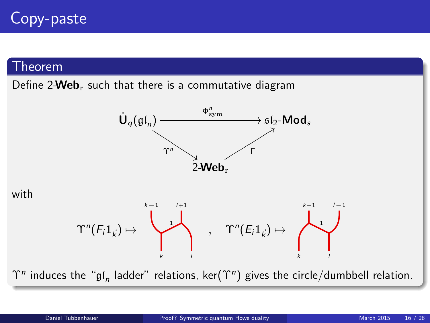#### Theorem

Define  $2$ **Web**<sub>r</sub> such that there is a commutative diagram



with



 $\Upsilon^n$  induces the " $\mathfrak{gl}_n$  ladder" relations, ker $(\Upsilon^n)$  gives the circle/dumbbell relation.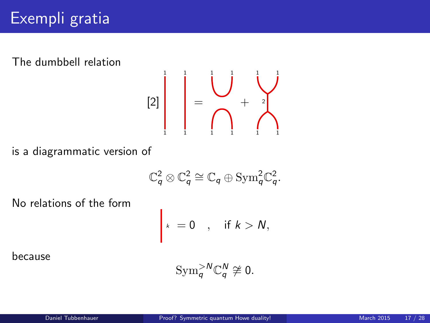The dumbbell relation

[2] 1 1 1 1 = 1 1 1 1 + 1 1 1 1 2

is a diagrammatic version of

$$
\mathbb{C}^2_q\otimes\mathbb{C}^2_q\cong\mathbb{C}_q\oplus\mathrm{Sym}_q^2\mathbb{C}^2_q.
$$

No relations of the form

$$
\kappa = 0 \quad , \quad \text{if } k > N,
$$

because

$$
\mathrm{Sym}_{q}^{>N}\mathbb{C}_{q}^{N}\not\cong 0.
$$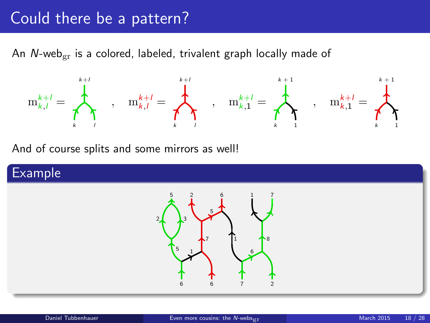### Could there be a pattern?

An  $N$ -web<sub>er</sub> is a colored, labeled, trivalent graph locally made of



And of course splits and some mirrors as well!

### Example

<span id="page-17-0"></span>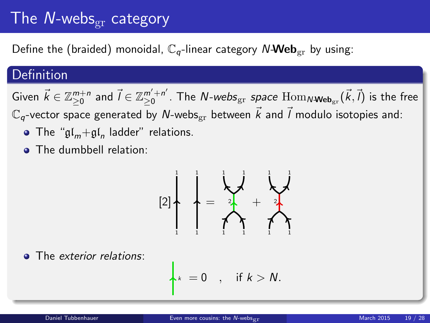## The N-webs $_{\text{gr}}$  category

Define the (braided) monoidal,  $\mathbb{C}_q$ -linear category N-Web<sub>gr</sub> by using:

### **Definition**

Given  $\vec{k} \in \mathbb{Z}_{\geq 0}^{m+n}$  and  $\vec{l} \in \mathbb{Z}_{\geq 0}^{m'+n'}$  $_{\geq0}^{m'+n'}$ . The  $N$ -*webs* $_{\mathrm{gr}}$  *space*  $\mathrm{Hom}_{N\textbf{-Web}_{\mathrm{gr}}}(\vec{k},\vec{l})$  is the free  $\mathbb{C}_q$ -vector space generated by N-webs<sub>gr</sub> between  $\vec{k}$  and  $\vec{l}$  modulo isotopies and:

- The " $\mathfrak{gl}_m + \mathfrak{gl}_n$  ladder" relations.
- **a** The dumbbell relation:



• The exterior relations:

$$
\star_k = 0 \quad , \quad \text{if } k > N.
$$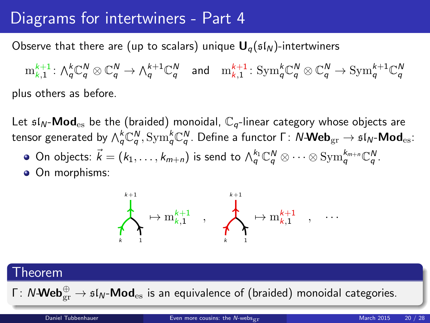## Diagrams for intertwiners - Part 4

Observe that there are (up to scalars) unique  $U_{q}(sI_{N})$ -intertwiners

 $\mathrm{m}^{k+1}_{\kappa,1}\colon \wedge^k_\mathsf{q} \mathbb{C}^N_q \otimes \mathbb{C}^N_\mathsf{q} \to \wedge^{k+1}_\mathsf{q} \mathbb{C}^N_q$  and  $\mathrm{m}^{k+1}_{\kappa,1}\colon \mathrm{Sym}^k_\mathsf{q} \mathbb{C}^N_q \otimes \mathbb{C}^N_q \to \mathrm{Sym}^{k+1}_\mathsf{q} \mathbb{C}^N_q$ plus others as before.

Let  $\mathfrak{sl}_N$ -Mod<sub>es</sub> be the (braided) monoidal,  $\mathbb{C}_q$ -linear category whose objects are tensor generated by  $\wedge_q^k$ C $_q^N$ ,  $\mathrm{Sym}_q^k$ C $_q^N$ . Define a functor Γ:  $N$ -Web $_{\mathrm{gr}}\to$   $\mathfrak{sl}_N$ -Mod $_{\mathrm{es}}$ :

- On objects:  $\vec{k}=(k_1,\ldots,k_{m+n})$  is send to  $\wedge_q^{k_1}\mathbb{C}_q^N\otimes\cdots\otimes \mathrm{Sym}^{k_{m+n}}_q\mathbb{C}_q^N.$
- On morphisms:



# Theorem Γ: N-Web $_{\rm gr}^{\oplus} \to$  sl $_{\rm N}$ -Mod $_{\rm es}$  is an equivalence of (braided) monoidal categories. Daniel Tubbenhauer **[Even more cousins: the](#page-17-0) N-webs<sub>or</sub> March 2015** 20 / 28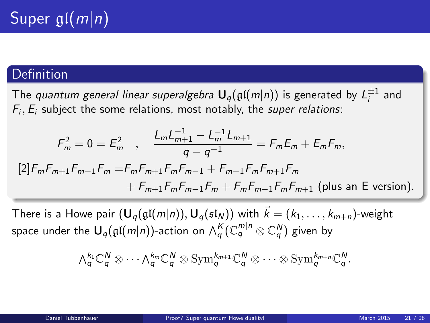### **Definition**

The *quantum general linear superalgebra*  ${\sf U}_q(\mathfrak{gl}(m|n))$  is generated by  ${\sf L}_i^{\pm 1}$  and  $F_i, E_i$  subject the some relations, most notably, the super relations:

$$
F_m^2 = 0 = E_m^2 \quad , \quad \frac{L_m L_{m+1}^{-1} - L_m^{-1} L_{m+1}}{q - q^{-1}} = F_m E_m + E_m F_m,
$$
  
\n[2]  $F_m F_{m+1} F_{m-1} F_m = F_m F_{m+1} F_m F_{m-1} + F_{m-1} F_m F_{m+1} F_m$   
\n $+ F_{m+1} F_m F_{m-1} F_m + F_m F_{m-1} F_m F_{m+1}$  (plus an E version).

There is a Howe pair  $(\mathbf{U}_q(\mathfrak{gl}(m|n)), \mathbf{U}_q(\mathfrak{sl}_N))$  with  $\vec{k} = (k_1, \ldots, k_{m+n})$ -weight space under the  ${\mathbf U}_q(\mathfrak{gl}(m|n))$ -action on  $\wedge_q^K(\mathbb{C}_q^{m|n} \otimes \mathbb{C}_q^N)$  given by

<span id="page-20-0"></span>
$$
\textstyle{\textstyle\bigwedge}^{k_1}_{q}\mathbb{C}^N_{q}\otimes\cdots\textstyle\bigwedge^{k_m}_{q}\mathbb{C}^N_{q}\otimes\text{Sym}^{k_{m+1}}_{q}\mathbb{C}^N_{q}\otimes\cdots\otimes\text{Sym}^{k_{m+n}}_{q}\mathbb{C}^N_{q}.
$$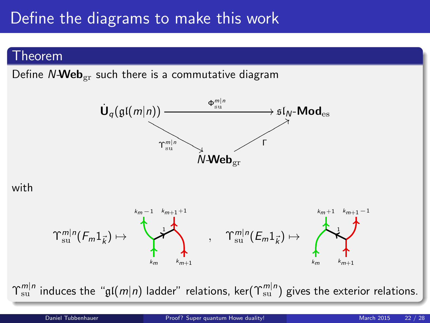## Define the diagrams to make this work

#### Theorem

Define  $N\text{-}Web_{gr}$  such there is a commutative diagram



#### with



 $\Upsilon^{m|n}_{\rm su}$  induces the " $\frak{gl}(m|n)$  ladder" relations, ker $(\Upsilon^{m|n}_{\rm su})$  gives the exterior relations.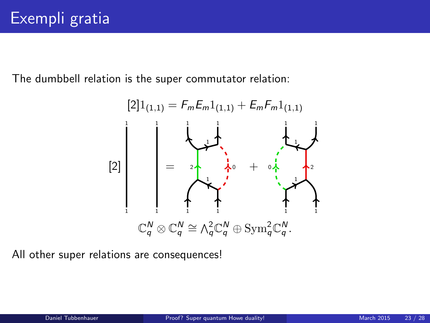The dumbbell relation is the super commutator relation:



All other super relations are consequences!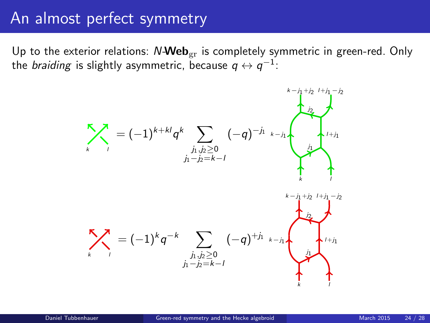### An almost perfect symmetry

Up to the exterior relations:  $N$ -Web<sub>gr</sub> is completely symmetric in green-red. Only the *braiding* is slightly asymmetric, because  $q \leftrightarrow q^{-1}$ :

<span id="page-23-0"></span>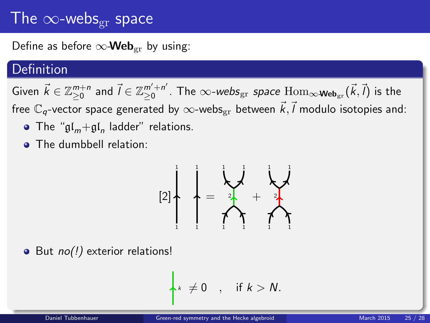## The  $\infty$ -webs<sub>gr</sub> space

Define as before  $\infty$ -Web<sub>er</sub> by using:

### Definition

Given  $\vec{k} \in \mathbb{Z}_{\geq 0}^{m+n}$  and  $\vec{l} \in \mathbb{Z}_{\geq 0}^{m'+n'}$  $_{\geq0}^{m'+n'}$ . The  $\infty$ -*webs* $_{\rm gr}$  *space*  ${\rm Hom}_{\infty\textbf{-Web}_{\rm gr}}(\vec{k},\vec{l})$  is the free  $\mathbb{C}_q$ -vector space generated by  $\infty$ -webs $_{\mathrm{gr}}$  between  $\vec{k},\vec{l}$  modulo isotopies and:

- The " $\mathfrak{gl}_m + \mathfrak{gl}_n$  ladder" relations.
- The dumbbell relation:

$$
[2] \left\{\begin{array}{c} \begin{matrix} \frac{1}{2} \\ \frac{1}{2} \end{matrix} & \begin{matrix} \frac{1}{2} \\ \frac{1}{2} \end{matrix} & \begin{matrix} \frac{1}{2} \\ \frac{1}{2} \end{matrix} & \begin{matrix} \frac{1}{2} \\ \frac{1}{2} \end{matrix} & \begin{matrix} \frac{1}{2} \\ \frac{1}{2} \end{matrix} & \begin{matrix} \frac{1}{2} \\ \frac{1}{2} \end{matrix} & \begin{matrix} \frac{1}{2} \\ \frac{1}{2} \end{matrix} & \begin{matrix} \frac{1}{2} \\ \frac{1}{2} \end{matrix} & \begin{matrix} \frac{1}{2} \\ \frac{1}{2} \end{matrix} & \begin{matrix} \frac{1}{2} \\ \frac{1}{2} \end{matrix} & \begin{matrix} \frac{1}{2} \\ \frac{1}{2} \end{matrix} & \begin{matrix} \frac{1}{2} \\ \frac{1}{2} \end{matrix} & \begin{matrix} \frac{1}{2} \\ \frac{1}{2} \end{matrix} & \begin{matrix} \frac{1}{2} \\ \frac{1}{2} \end{matrix} & \begin{matrix} \frac{1}{2} \\ \frac{1}{2} \end{matrix} & \begin{matrix} \frac{1}{2} \\ \frac{1}{2} \end{matrix} & \begin{matrix} \frac{1}{2} \\ \frac{1}{2} \end{matrix} & \begin{matrix} \frac{1}{2} \\ \frac{1}{2} \end{matrix} & \begin{matrix} \frac{1}{2} \\ \frac{1}{2} \end{matrix} & \begin{matrix} \frac{1}{2} \\ \frac{1}{2} \end{matrix} & \begin{matrix} \frac{1}{2} \\ \frac{1}{2} \end{matrix} & \begin{matrix} \frac{1}{2} \\ \frac{1}{2} \end{matrix} & \begin{matrix} \frac{1}{2} \\ \frac{1}{2} \end{matrix} & \begin{matrix} \frac{1}{2} \\ \frac{1}{2} \end{matrix} & \begin{matrix} \frac{1}{2} \\ \frac{1}{2} \end{matrix} & \begin{matrix} \frac{1}{2} \\ \frac{1}{2} \end{matrix} & \begin{matrix} \frac{1}{2} \\ \frac{1}{2} \end{matrix} & \begin{matrix} \frac{1}{2} \\ \frac{1}{2} \end{matrix} & \begin{matrix} \frac{1}{2} \\ \frac{1}{
$$

 $\bullet$  But  $no(!)$  exterior relations!

$$
\kappa \neq 0 \quad , \quad \text{if } k > N.
$$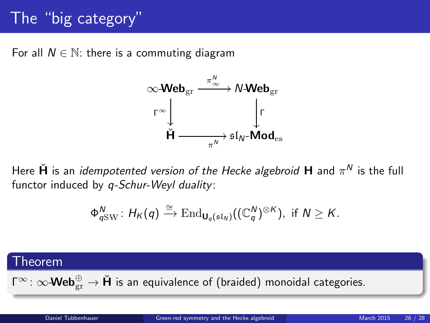## The "big category"

For all  $N \in \mathbb{N}$ : there is a commuting diagram



Here  $\check{\bm{\mathsf{H}}}$  is an *idempotented version of the Hecke algebroid*  $\bm{\mathsf{H}}$  and  $\pi^{\textsf{N}}$  is the full functor induced by *q-Schur-Weyl duality*:

$$
\Phi_{q{\rm SW}}^N\colon H_K(q)\xrightarrow{\cong} {\rm End}_{\mathsf{U}_q(\mathfrak{sl}_N)}((\mathbb{C}_q^N)^{\otimes K}),\,\,\text{if}\,\, N\ge K.
$$

#### Theorem

 $\mathsf{\Gamma}^{\infty}\colon \infty$ -Web $_{\mathrm{gr}}^{\oplus} \to \mathsf{\check{H}}$  is an equivalence of (braided) monoidal categories.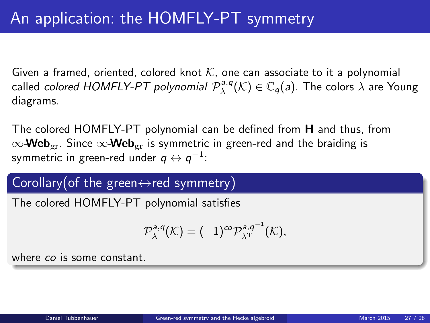Given a framed, oriented, colored knot K, one can associate to it a polynomial called *colored HOMFLY-PT polynomial*  $\mathcal{P}^{a,q}_\lambda(\mathcal{K})\in\mathbb{C}_q(\mathsf{a})$ *.* The colors  $\lambda$  are Young diagrams.

The colored HOMFLY-PT polynomial can be defined from H and thus, from  $\infty$ -Web<sub>or</sub>. Since  $\infty$ -Web<sub>or</sub> is symmetric in green-red and the braiding is symmetric in green-red under  $q\leftrightarrow q^{-1}$ :

### Corollary(of the green $\leftrightarrow$ red symmetry)

The colored HOMFLY-PT polynomial satisfies

$$
\mathcal{P}^{\mathsf{a},\mathsf{q}}_\lambda(\mathcal{K})=(-1)^{\mathsf{co}}\mathcal{P}^{\mathsf{a},\mathsf{q}^{-1}}_{\lambda^\mathrm{T}}(\mathcal{K}),
$$

where co is some constant.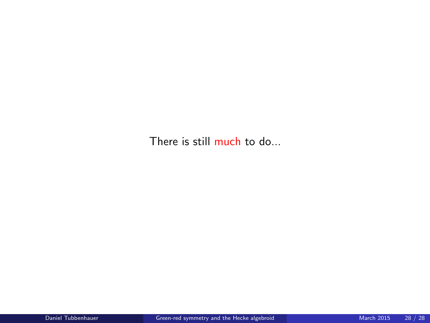There is still much to do...